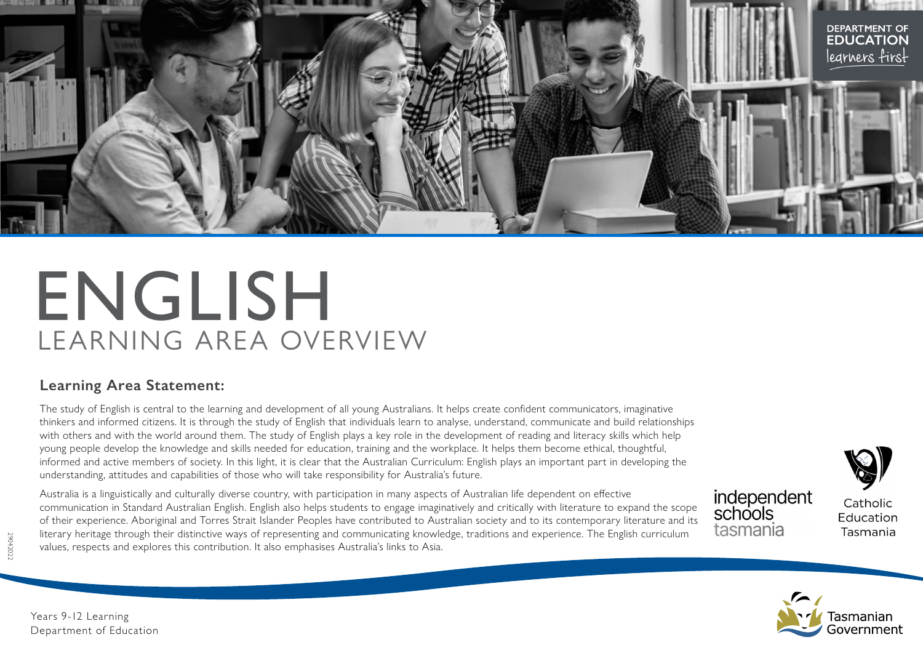

# ENGLISH LEARNING AREA OVERVIEW

## **Learning Area Statement:**

The study of English is central to the learning and development of all young Australians. It helps create confident communicators, imaginative thinkers and informed citizens. It is through the study of English that individuals learn to analyse, understand, communicate and build relationships with others and with the world around them. The study of English plays a key role in the development of reading and literacy skills which help young people develop the knowledge and skills needed for education, training and the workplace. It helps them become ethical, thoughtful, informed and active members of society. In this light, it is clear that the Australian Curriculum: English plays an important part in developing the understanding, attitudes and capabilities of those who will take responsibility for Australia's future.

Australia is a linguistically and culturally diverse country, with participation in many aspects of Australian life dependent on effective communication in Standard Australian English. English also helps students to engage imaginatively and critically with literature to expand the scope of their experience. Aboriginal and Torres Strait Islander Peoples have contributed to Australian society and to its contemporary literature and its literary heritage through their distinctive ways of representing and communicating knowledge, traditions and experience. The English curriculum values, respects and explores this contribution. It also emphasises Australia's links to Asia.

independent schools tasmania

Catholic Education Tasmania



29042022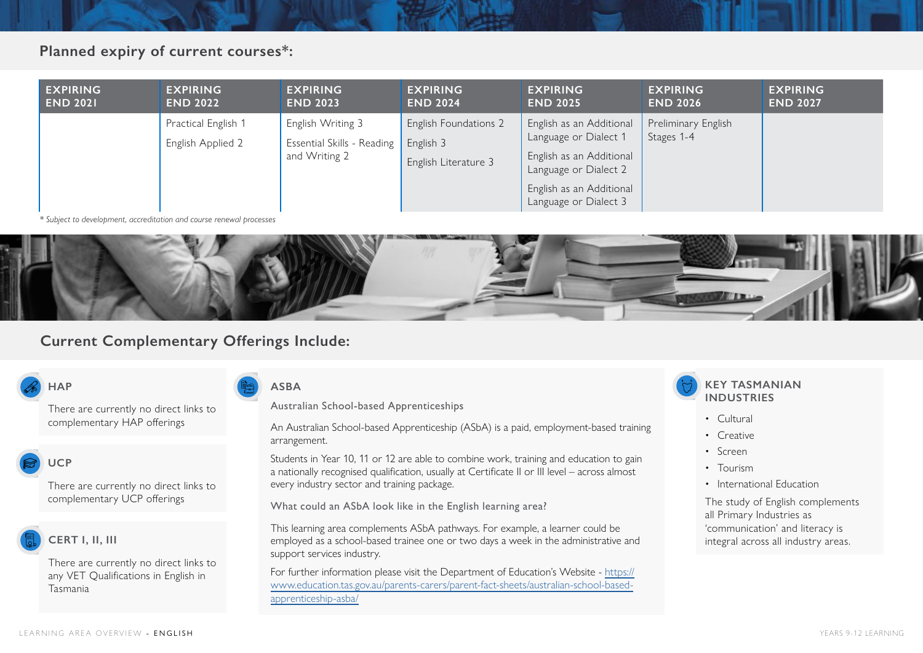## **Planned expiry of current courses\*:**

| <b>EXPIRING</b><br><b>END 2021</b> | <b>EXPIRING</b><br><b>END 2022</b>       | <b>EXPIRING</b><br><b>END 2023</b>                               | <b>EXPIRING</b><br><b>END 2024</b>                                | <b>EXPIRING</b><br><b>END 2025</b>                                                                     | <b>EXPIRING</b><br><b>END 2026</b> | <b>EXPIRING</b><br><b>END 2027</b> |
|------------------------------------|------------------------------------------|------------------------------------------------------------------|-------------------------------------------------------------------|--------------------------------------------------------------------------------------------------------|------------------------------------|------------------------------------|
|                                    | Practical English 1<br>English Applied 2 | English Writing 3<br>Essential Skills - Reading<br>and Writing 2 | <b>English Foundations 2</b><br>English 3<br>English Literature 3 | English as an Additional<br>Language or Dialect 1<br>English as an Additional<br>Language or Dialect 2 | Preliminary English<br>Stages 1-4  |                                    |
|                                    |                                          |                                                                  |                                                                   | English as an Additional<br>Language or Dialect 3                                                      |                                    |                                    |

*\* Subject to development, accreditation and course renewal processes*



## **Current Complementary Offerings Include:**

## **HAP**

There are currently no direct links to complementary HAP offerings

## **UCP**

There are currently no direct links to complementary UCP offerings

## **CERT I, II, III**

There are currently no direct links to any VET Qualifications in English in Tasmania

### **ASBA**

Australian School-based Apprenticeships

An Australian School-based Apprenticeship (ASbA) is a paid, employment-based training arrangement.

Students in Year 10, 11 or 12 are able to combine work, training and education to gain a nationally recognised qualification, usually at Certificate II or III level – across almost every industry sector and training package.

What could an ASbA look like in the English learning area?

This learning area complements ASbA pathways. For example, a learner could be employed as a school-based trainee one or two days a week in the administrative and support services industry.

For further information please visit the Department of Education's Website - [https://](https://www.education.tas.gov.au/parents-carers/parent-fact-sheets/australian-school-based-apprenticeship-asba/ ) [www.education.tas.gov.au/parents-carers/parent-fact-sheets/australian-school-based](https://www.education.tas.gov.au/parents-carers/parent-fact-sheets/australian-school-based-apprenticeship-asba/ )[apprenticeship-asba/](https://www.education.tas.gov.au/parents-carers/parent-fact-sheets/australian-school-based-apprenticeship-asba/ )

### **KEY TASMANIAN INDUSTRIES**

- Cultural
- Creative
- Screen
- Tourism
- International Education

The study of English complements all Primary Industries as 'communication' and literacy is integral across all industry areas.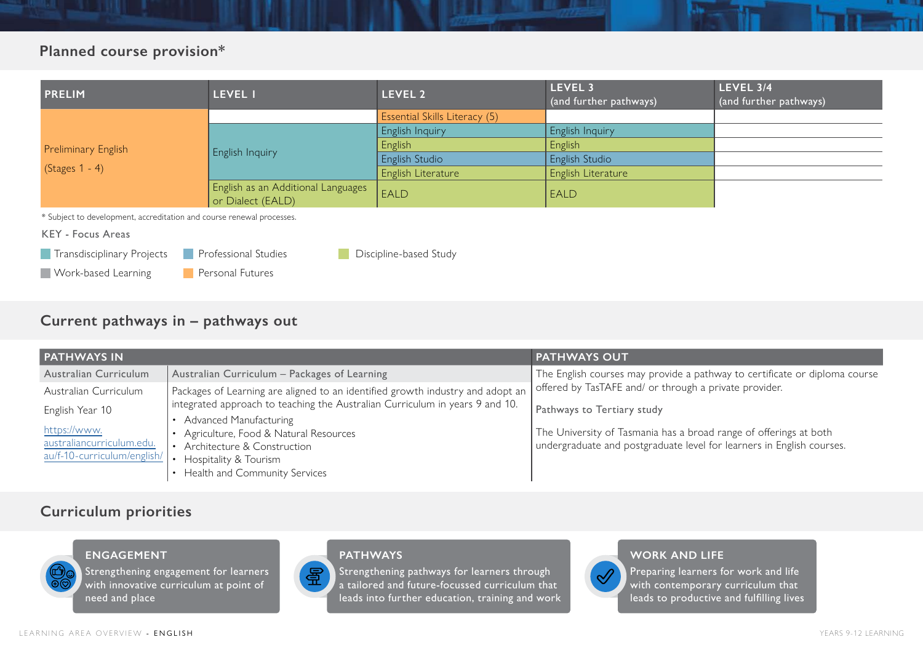# **Planned course provision\***

| <b>PRELIM</b>                                                                       | LEVEL I                                                 | LEVEL 2                       | LEVEL 3<br>(and further pathways) | LEVEL 3/4<br>(and further pathways) |  |  |
|-------------------------------------------------------------------------------------|---------------------------------------------------------|-------------------------------|-----------------------------------|-------------------------------------|--|--|
|                                                                                     |                                                         | Essential Skills Literacy (5) |                                   |                                     |  |  |
|                                                                                     |                                                         | English Inquiry               | English Inquiry                   |                                     |  |  |
| <b>Preliminary English</b>                                                          | <b>English Inquiry</b>                                  | English                       | English                           |                                     |  |  |
|                                                                                     |                                                         | English Studio                | <b>English Studio</b>             |                                     |  |  |
| $(Stages 1 - 4)$                                                                    |                                                         | English Literature            | English Literature                |                                     |  |  |
|                                                                                     | English as an Additional Languages<br>or Dialect (EALD) | EALD                          | <b>EALD</b>                       |                                     |  |  |
| * Subject to development, accreditation and course renewal processes.               |                                                         |                               |                                   |                                     |  |  |
| KEY - Focus Areas                                                                   |                                                         |                               |                                   |                                     |  |  |
| <b>Professional Studies</b><br>Transdisciplinary Projects<br>Discipline-based Study |                                                         |                               |                                   |                                     |  |  |
| <b>Work-based Learning</b>                                                          | Personal Futures                                        |                               |                                   |                                     |  |  |

## **Current pathways in – pathways out**

| <b>PATHWAYS IN</b>                                                       |                                                                                                                               | <b>PATHWAYS OUT</b>                                                                                                                        |  |  |  |
|--------------------------------------------------------------------------|-------------------------------------------------------------------------------------------------------------------------------|--------------------------------------------------------------------------------------------------------------------------------------------|--|--|--|
| Australian Curriculum                                                    | Australian Curriculum - Packages of Learning                                                                                  | The English courses may provide a pathway to certificate or diploma course                                                                 |  |  |  |
| Australian Curriculum                                                    | Packages of Learning are aligned to an identified growth industry and adopt an                                                | offered by TasTAFE and/ or through a private provider.                                                                                     |  |  |  |
| English Year 10                                                          | integrated approach to teaching the Australian Curriculum in years 9 and 10.                                                  | Pathways to Tertiary study                                                                                                                 |  |  |  |
| https://www.<br>australiancurriculum.edu.<br>au/f-10-curriculum/english/ | • Advanced Manufacturing<br>• Agriculture, Food & Natural Resources<br>• Architecture & Construction<br>Hospitality & Tourism | The University of Tasmania has a broad range of offerings at both<br>undergraduate and postgraduate level for learners in English courses. |  |  |  |
|                                                                          | Health and Community Services                                                                                                 |                                                                                                                                            |  |  |  |

## **Curriculum priorities**



**ENGAGEMENT**

Strengthening engagement for learners with innovative curriculum at point of need and place

#### **PATHWAYS**

星 Strengthening pathways for learners through a tailored and future-focussed curriculum that leads into further education, training and work

# $\mathscr{A}$

## **WORK AND LIFE**

Preparing learners for work and life with contemporary curriculum that leads to productive and fulfilling lives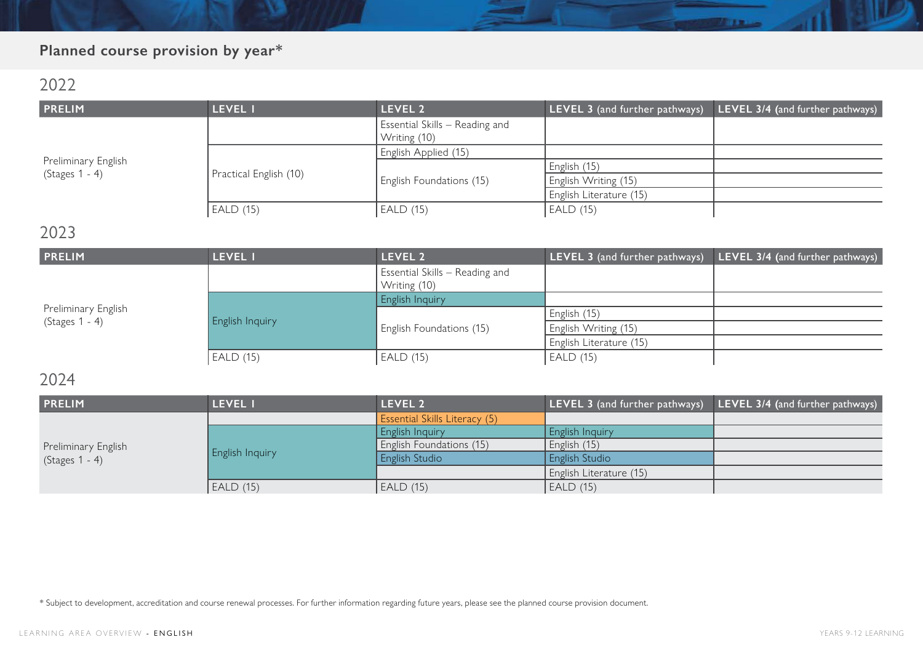# **Planned course provision by year\***

# 2022

| <b>PRELIM</b>       | <b>LEVEL I</b>         | LEVEL <sub>2</sub>                             | LEVEL 3 (and further pathways) | LEVEL 3/4 (and further pathways) |
|---------------------|------------------------|------------------------------------------------|--------------------------------|----------------------------------|
|                     |                        | Essential Skills - Reading and<br>Writing (10) |                                |                                  |
|                     |                        | English Applied (15)                           |                                |                                  |
| Preliminary English |                        |                                                | English (15)                   |                                  |
| (Stages 1 - 4)      | Practical English (10) | English Foundations (15)                       | English Writing (15)           |                                  |
|                     |                        |                                                | English Literature (15)        |                                  |
|                     | EALD (15)              | <b>EALD (15)</b>                               | EALD (15)                      |                                  |

# 2023

| <b>PRELIM</b>       | LEVEL I                | LEVEL 2                                        | LEVEL 3 (and further pathways) | LEVEL 3/4 (and further pathways) |
|---------------------|------------------------|------------------------------------------------|--------------------------------|----------------------------------|
|                     |                        | Essential Skills - Reading and<br>Writing (10) |                                |                                  |
|                     | <b>English Inquiry</b> | English Inquiry                                |                                |                                  |
| Preliminary English |                        |                                                | English (15)                   |                                  |
| $(Stages 1 - 4)$    |                        | English Foundations (15)                       | English Writing (15)           |                                  |
|                     |                        |                                                | English Literature (15)        |                                  |
|                     | <b>EALD (15)</b>       | EALD (15)                                      | EALD (15)                      |                                  |

# 2024

| <b>PRELIM</b>       | <b>LEVEL I</b>  | <b>LEVEL 2</b>                       | LEVEL 3 (and further pathways) | LEVEL 3/4 (and further pathways) |
|---------------------|-----------------|--------------------------------------|--------------------------------|----------------------------------|
|                     |                 | <b>Essential Skills Literacy (5)</b> |                                |                                  |
|                     | English Inquiry | English Inquiry                      | <b>English Inquiry</b>         |                                  |
| Preliminary English |                 | English Foundations (15)             | English (15)                   |                                  |
| $(Stages 1 - 4)$    |                 | English Studio                       | <b>English Studio</b>          |                                  |
|                     |                 |                                      | English Literature (15)        |                                  |
|                     | EALD (15)       | EALD (15)                            | EALD (15)                      |                                  |

\* Subject to development, accreditation and course renewal processes. For further information regarding future years, please see the planned course provision document.

**RETERING**